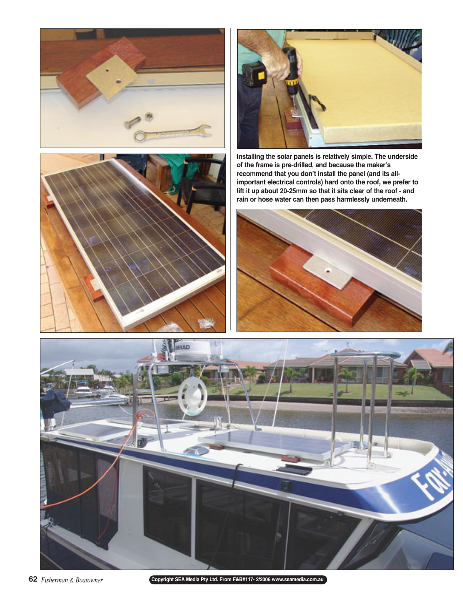





**Installing the solar panels is relatively simple. The underside of the frame is pre-drilled, and because the maker's recommend that you don't install the panel (and its allimportant electrical controls) hard onto the roof, we prefer to lift it up about 20-25mm so that it sits clear of the roof - and rain or hose water can then pass harmlessly underneath.** 





**Copyright SEA Media Pty Ltd. From F&B#117- 2/2006 www.seamedia.com.au**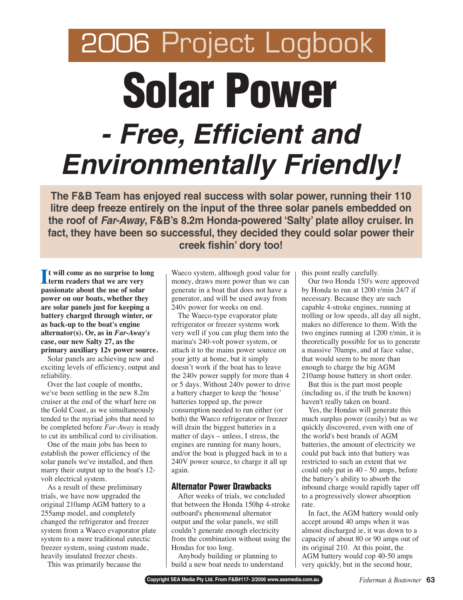# 2006 Project Logbook **Solar Power - Free, Efficient and Environmentally Friendly!**

**The F&B Team has enjoyed real success with solar power, running their 110 litre deep freeze entirely on the input of the three solar panels embedded on the roof of Far-Away, F&B's 8.2m Honda-powered 'Salty' plate alloy cruiser. In fact, they have been so successful, they decided they could solar power their creek fishin' dory too!** 

**I I** t will come as no surprise to let **t will come as no surprise to long passionate about the use of solar power on our boats, whether they are solar panels just for keeping a battery charged through winter, or as back-up to the boat's engine alternator(s). Or, as in** *Far-Away's* **case, our new Salty 27, as the primary auxiliary 12v power source.** 

Solar panels are achieving new and exciting levels of efficiency, output and reliability.

Over the last couple of months, we've been settling in the new 8.2m cruiser at the end of the wharf here on the Gold Coast, as we simultaneously tended to the myriad jobs that need to be completed before *Far-Away* is ready to cut its umbilical cord to civilisation.

One of the main jobs has been to establish the power efficiency of the solar panels we've installed, and then marry their output up to the boat's 12 volt electrical system.

As a result of these preliminary trials, we have now upgraded the original 210amp AGM battery to a 255amp model, and completely changed the refrigerator and freezer system from a Waeco evaporator plate system to a more traditional eutectic freezer system, using custom made, heavily insulated freezer chests.

This was primarily because the

Waeco system, although good value for money, draws more power than we can generate in a boat that does not have a generator, and will be used away from 240v power for weeks on end.

The Waeco-type evaporator plate refrigerator or freezer systems work very well if you can plug them into the marina's 240-volt power system, or attach it to the mains power source on your jetty at home, but it simply doesn't work if the boat has to leave the 240v power supply for more than 4 or 5 days. Without 240v power to drive a battery charger to keep the 'house' batteries topped up, the power consumption needed to run either (or both) the Waeco refrigerator or freezer will drain the biggest batteries in a matter of days – unless, I stress, the engines are running for many hours, and/or the boat is plugged back in to a 240V power source, to charge it all up again.

#### **Alternator Power Drawbacks**

After weeks of trials, we concluded that between the Honda 150hp 4-stroke outboard's phenomenal alternator output and the solar panels, we still couldn't generate enough electricity from the combination without using the Hondas for too long.

Anybody building or planning to build a new boat needs to understand this point really carefully.

Our two Honda 150's were approved by Honda to run at 1200 r/min 24/7 if necessary. Because they are such capable 4-stroke engines, running at trolling or low speeds, all day all night, makes no difference to them. With the two engines running at 1200 r/min, it is theoretically possible for us to generate a massive 70amps, and at face value, that would seem to be more than enough to charge the big AGM 210amp house battery in short order.

But this is the part most people (including us, if the truth be known) haven't really taken on board.

Yes, the Hondas will generate this much surplus power (easily) but as we quickly discovered, even with one of the world's best brands of AGM batteries, the amount of electricity we could put back into that battery was restricted to such an extent that we could only put in 40 - 50 amps, before the battery's ability to absorb the inbound charge would rapidly taper off to a progressively slower absorption rate.

In fact, the AGM battery would only accept around 40 amps when it was almost discharged ie, it was down to a capacity of about 80 or 90 amps out of its original 210. At this point, the AGM battery would cop 40-50 amps very quickly, but in the second hour,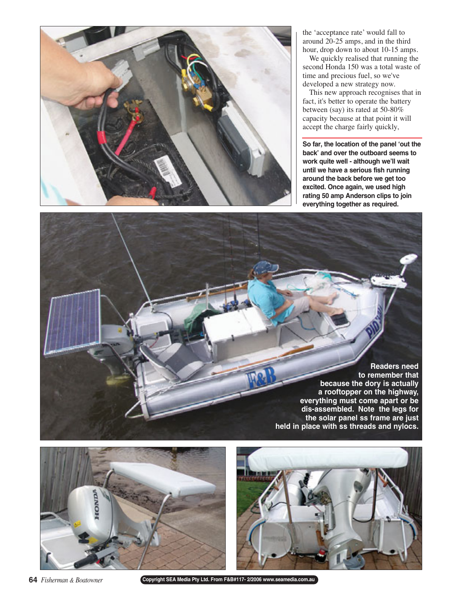

the 'acceptance rate' would fall to around 20-25 amps, and in the third hour, drop down to about 10-15 amps.

We quickly realised that running the second Honda 150 was a total waste of time and precious fuel, so we've developed a new strategy now.

This new approach recognises that in fact, it's better to operate the battery between (say) its rated at 50-80% capacity because at that point it will accept the charge fairly quickly,

**So far, the location of the panel 'out the back' and over the outboard seems to work quite well - although we'll wait until we have a serious fish running around the back before we get too excited. Once again, we used high rating 50 amp Anderson clips to join everything together as required.** 

**Readers need to remember that because the dory is actually a rooftopper on the highway, everything must come apart or be dis-assembled. Note the legs for the solar panel ss frame are just held in place with ss threads and nylocs.**





**64** *Fisherman & Boatowner*

**Copyright SEA Media Pty Ltd. From F&B#117- 2/2006 www.seamedia.com.au**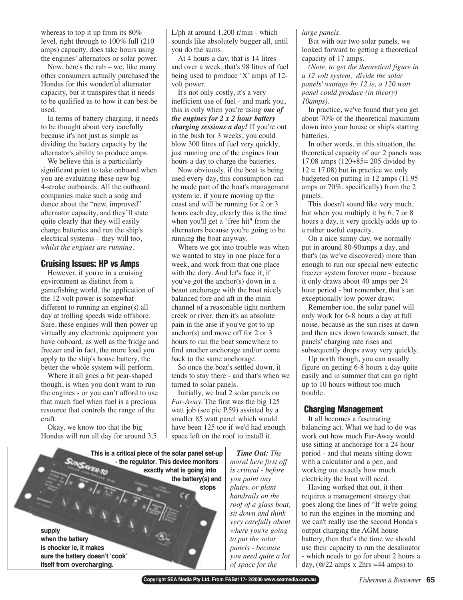whereas to top it up from its 80% level, right through to 100% full (210 amps) capacity, does take hours using the engines' alternators or solar power.

Now, here's the rub – we, like many other consumers actually purchased the Hondas for this wonderful alternator capacity, but it transpires that it needs to be qualified as to how it can best be used.

In terms of battery charging, it needs to be thought about very carefully because it's not just as simple as dividing the battery capacity by the alternator's ability to produce amps.

We believe this is a particularly significant point to take onboard when you are evaluating these new big 4-stroke outboards. All the outboard companies make such a song and dance about the "new, improved" alternator capacity, and they'll state quite clearly that they will easily charge batteries and run the ship's electrical systems – they will too, *whilst the engines are running.*

## **Cruising Issues: HP vs Amps**

However, if you're in a cruising environment as distinct from a gamefishing world, the application of the 12-volt power is somewhat different to running an engine(s) all day at trolling speeds wide offshore. Sure, these engines will then power up virtually any electronic equipment you have onboard, as well as the fridge and freezer and in fact, the more load you apply to the ship's house battery, the better the whole system will perform.

Where it all goes a bit pear-shaped though, is when you don't want to run the engines - or you can't afford to use that much fuel when fuel is a precious resource that controls the range of the craft.

Okay, we know too that the big Hondas will run all day for around 3.5 L/ph at around 1,200 r/min - which sounds like absolutely bugger all, until you do the sums.

At 4 hours a day, that is 14 litres and over a week, that's 98 litres of fuel being used to produce 'X' amps of 12 volt power.

It's not only costly, it's a very inefficient use of fuel - and mark you, this is only when you're using *one of the engines for 2 x 2 hour battery charging sessions a day!* If you're out in the bush for 3 weeks, you could blow 300 litres of fuel very quickly, just running one of the engines four hours a day to charge the batteries.

Now obviously, if the boat is being used every day, this consumption can be made part of the boat's management system ie, if you're moving up the coast and will be running for 2 or 3 hours each day, clearly this is the time when you'll get a "free hit" from the alternators because you're going to be running the boat anyway.

Where we got into trouble was when we wanted to stay in one place for a week, and work from that one place with the dory. And let's face it, if you've got the anchor(s) down in a beaut anchorage with the boat nicely balanced fore and aft in the main channel of a reasonable tight northern creek or river, then it's an absolute pain in the arse if you've got to up anchor(s) and move off for 2 or 3 hours to run the boat somewhere to find another anchorage and/or come back to the same anchorage.

So once the boat's settled down, it tends to stay there - and that's when we turned to solar panels.

Initially, we had 2 solar panels on *Far-Away.* The first was the big 125 watt job (see pic P.59) assisted by a smaller 85 watt panel which would have been 125 too if we'd had enough space left on the roof to install it.



*Time Out: The moral here first off is critical - before you paint any platey, or plant handrails on the roof of a glass boat, sit down and think very carefully about where you're going to put the solar panels - because you need quite a lot of space for the*

*large panels.* 

But with our two solar panels, we looked forward to getting a theoretical capacity of 17 amps.

*(Note, to get the theoretical figure in a 12 volt system, divide the solar panels' wattage by 12 ie, a 120 watt panel could produce (in theory) 10amps).* 

In practice, we've found that you get about 70% of the theoretical maximum down into your house or ship's starting batteries.

In other words, in this situation, the theoretical capacity of our 2 panels was 17.08 amps (120+85= 205 divided by  $12 = 17.08$ ) but in practice we only budgeted on putting in 12 amps (11.95 amps or 70%, specifically) from the 2 panels.

This doesn't sound like very much, but when you multiply it by 6, 7 or 8 hours a day, it very quickly adds up to a rather useful capacity.

On a nice sunny day, we normally put in around 80-90amps a day, and that's (as we've discovered) more than enough to run our special new eutectic freezer system forever more - because it only draws about 40 amps per 24 hour period - but remember, that's an exceptionally low power draw.

Remember too, the solar panel will only work for 6-8 hours a day at full noise, because as the sun rises at dawn and then arcs down towards sunset, the panels' charging rate rises and subsequently drops away very quickly.

Up north though, you can usually figure on getting 6-8 hours a day quite easily and in summer that can go right up to 10 hours without too much trouble.

#### **Charging Management**

It all becomes a fascinating balancing act. What we had to do was work out how much Far-Away would use sitting at anchorage for a 24 hour period - and that means sitting down with a calculator and a pen, and working out exactly how much electricity the boat will need.

Having worked that out, it then requires a management strategy that goes along the lines of "If we're going to run the engines in the morning and we can't really use the second Honda's output charging the AGM house battery, then that's the time we should use their capacity to run the desalinator - which needs to go for about 2 hours a day, ( $@22$  amps x 2hrs =44 amps) to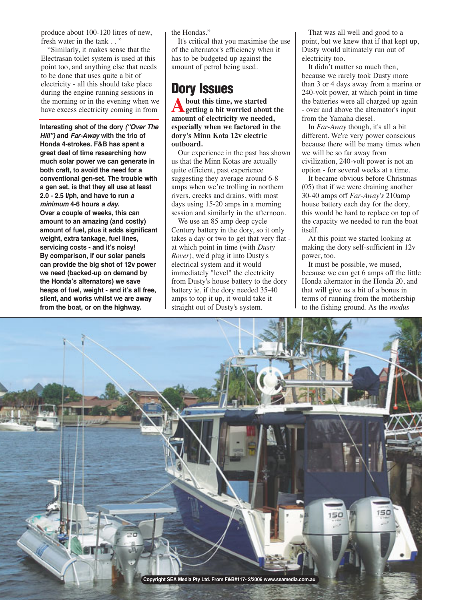produce about 100-120 litres of new, fresh water in the tank . . "

"Similarly, it makes sense that the Electrasan toilet system is used at this point too, and anything else that needs to be done that uses quite a bit of electricity - all this should take place during the engine running sessions in the morning or in the evening when we have excess electricity coming in from

**Interesting shot of the dory ("Over The Hill") and Far-Away with the trio of Honda 4-strokes. F&B has spent a great deal of time researching how much solar power we can generate in both craft, to avoid the need for a conventional gen-set. The trouble with a gen set, is that they all use at least 2.0 - 2.5 l/ph, and have to run <sup>a</sup> minimum 4-6 hours a day. Over a couple of weeks, this can amount to an amazing (and costly) amount of fuel, plus it adds significant weight, extra tankage, fuel lines, servicing costs - and it's noisy! By comparison, if our solar panels can provide the big shot of 12v power we need (backed-up on demand by the Honda's alternators) we save heaps of fuel, weight - and it's all free, silent, and works whilst we are away from the boat, or on the highway.** 

the Hondas."

It's critical that you maximise the use of the alternator's efficiency when it has to be budgeted up against the amount of petrol being used.

# **Dory Issues**

**About this time, we started getting a bit worried about the amount of electricity we needed, especially when we factored in the dory's Minn Kota 12v electric outboard.**

Our experience in the past has shown us that the Minn Kotas are actually quite efficient, past experience suggesting they average around 6-8 amps when we're trolling in northern rivers, creeks and drains, with most days using 15-20 amps in a morning session and similarly in the afternoon.

We use an 85 amp deep cycle Century battery in the dory, so it only takes a day or two to get that very flat at which point in time (with *Dusty Rover*), we'd plug it into Dusty's electrical system and it would immediately "level" the electricity from Dusty's house battery to the dory battery ie, if the dory needed 35-40 amps to top it up, it would take it straight out of Dusty's system.

That was all well and good to a point, but we knew that if that kept up, Dusty would ultimately run out of electricity too.

It didn't matter so much then, because we rarely took Dusty more than 3 or 4 days away from a marina or 240-volt power, at which point in time the batteries were all charged up again - over and above the alternator's input from the Yamaha diesel.

In *Far-Away* though, it's all a bit different. We're very power conscious because there will be many times when we will be so far away from civilization, 240-volt power is not an option - for several weeks at a time.

It became obvious before Christmas (05) that if we were draining another 30-40 amps off *Far-Away's* 210amp house battery each day for the dory, this would be hard to replace on top of the capacity we needed to run the boat itself.

At this point we started looking at making the dory self-sufficient in 12v power, too.

It must be possible, we mused, because we can get 6 amps off the little Honda alternator in the Honda 20, and that will give us a bit of a bonus in terms of running from the mothership to the fishing ground. As the *modus*